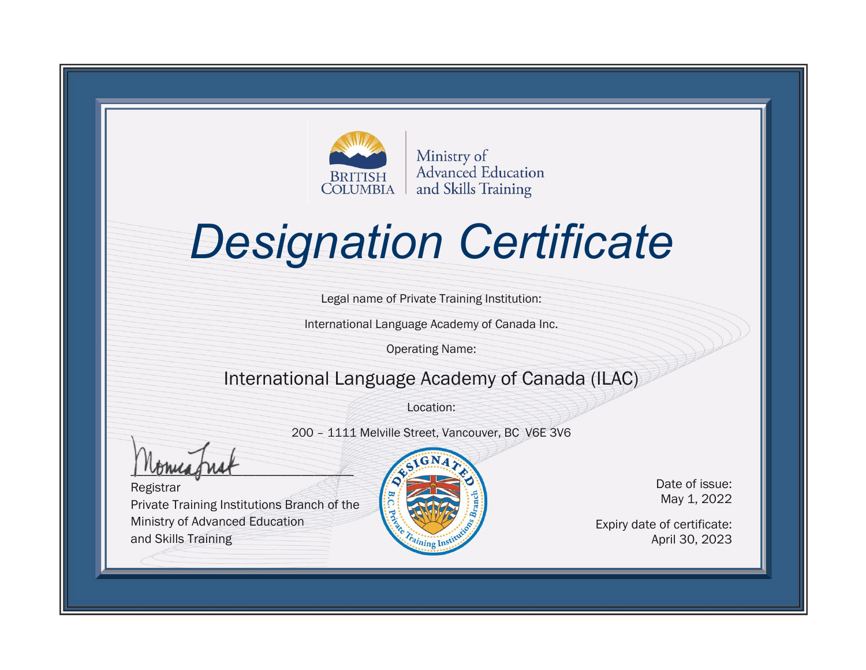

# *Designation Certificate*

Legal name of Private Training Institution:

International Language Academy of Canada Inc.

Operating Name:

#### International Language Academy of Canada (ILAC)

Location:

200 – 1111 Melville Street, Vancouver, BC V6E 3V6

 $\frac{1}{1}$ 

Registrar Private Training Institutions Branch of the Ministry of Advanced Education and Skills Training



Date of issue: May 1, 2022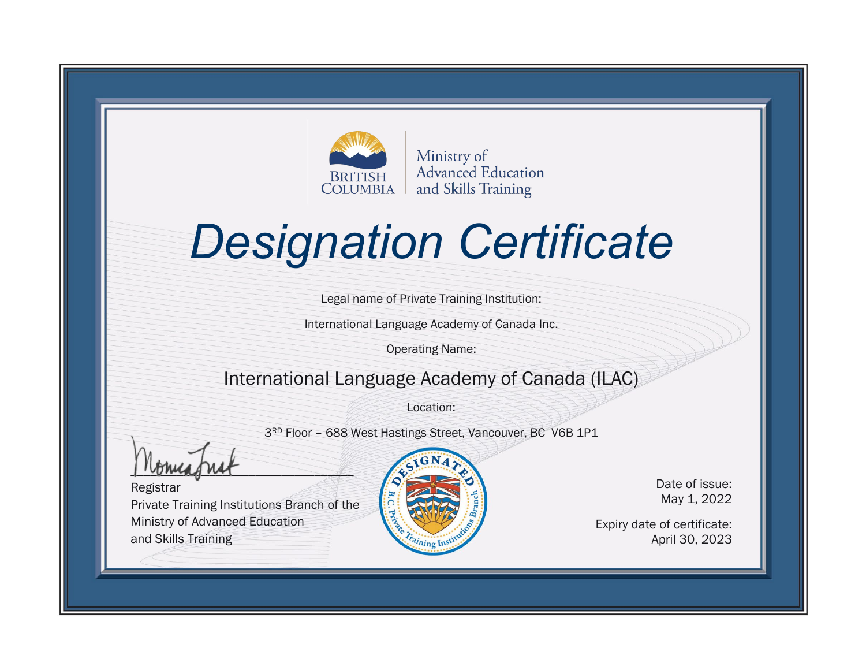

# *Designation Certificate*

Legal name of Private Training Institution:

International Language Academy of Canada Inc.

Operating Name:

### International Language Academy of Canada (ILAC)

Location:

3RD Floor – 688 West Hastings Street, Vancouver, BC V6B 1P1

 $\frac{1}{1}$ 

Registrar Private Training Institutions Branch of the Ministry of Advanced Education and Skills Training



Date of issue: May 1, 2022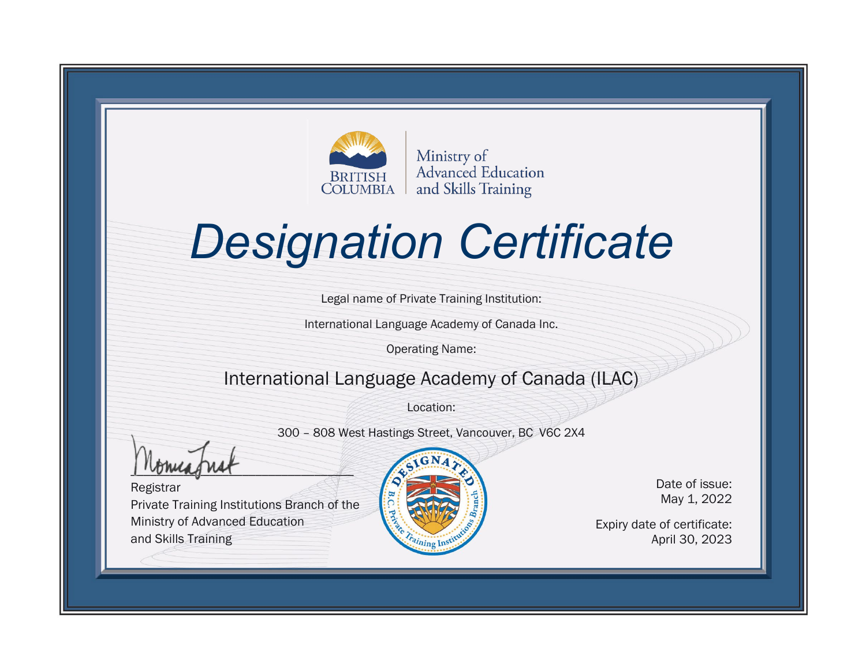

# *Designation Certificate*

Legal name of Private Training Institution:

International Language Academy of Canada Inc.

Operating Name:

#### International Language Academy of Canada (ILAC)

Location:

300 – 808 West Hastings Street, Vancouver, BC V6C 2X4

 $\frac{1 \cdot \text{V} \cdot \text{V} \cdot \text{V}}{1 \cdot \text{V} \cdot \text{V} \cdot \text{V}}$ 

Registrar Private Training Institutions Branch of the Ministry of Advanced Education and Skills Training



Date of issue: May 1, 2022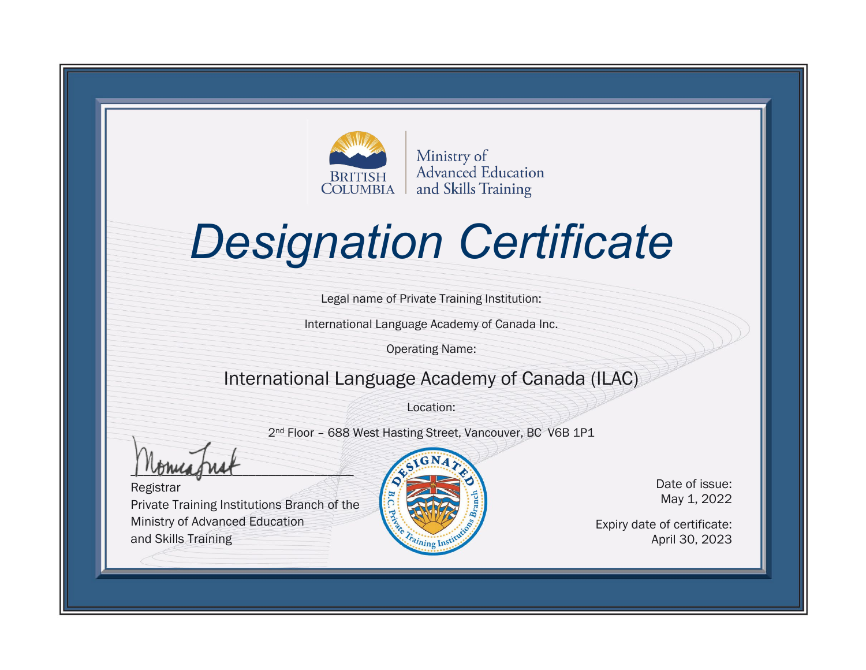

# *Designation Certificate*

Legal name of Private Training Institution:

International Language Academy of Canada Inc.

Operating Name:

### International Language Academy of Canada (ILAC)

Location:

2nd Floor – 688 West Hasting Street, Vancouver, BC V6B 1P1

\_\_\_\_\_\_\_\_\_\_\_\_\_\_\_\_\_\_\_\_\_\_\_\_\_\_\_\_\_\_\_\_\_\_

Registrar Private Training Institutions Branch of the Ministry of Advanced Education and Skills Training



Date of issue: May 1, 2022